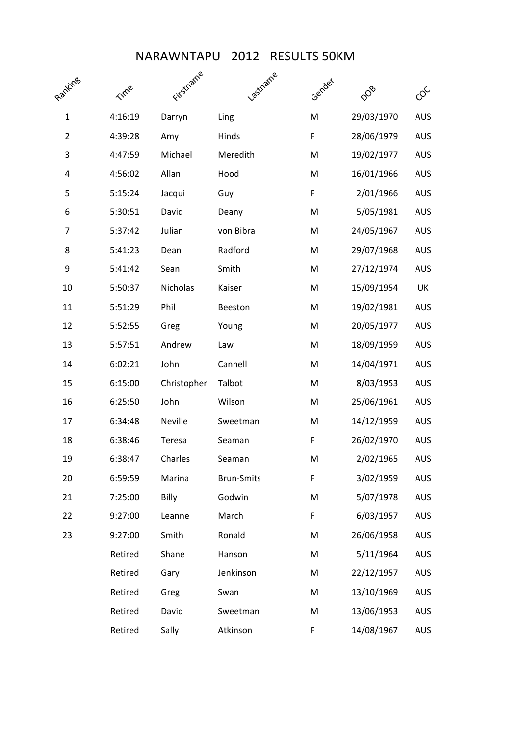## NARAWNTAPU - 2012 - RESULTS 50KM

| Ranking        | Time    | Firstname   | <b>PSTRAIRE</b>   | Gender | DOB        | တို        |
|----------------|---------|-------------|-------------------|--------|------------|------------|
| $\mathbf{1}$   | 4:16:19 | Darryn      | Ling              | M      | 29/03/1970 | <b>AUS</b> |
| $\overline{2}$ | 4:39:28 | Amy         | Hinds             | F      | 28/06/1979 | <b>AUS</b> |
| 3              | 4:47:59 | Michael     | Meredith          | M      | 19/02/1977 | <b>AUS</b> |
| 4              | 4:56:02 | Allan       | Hood              | M      | 16/01/1966 | <b>AUS</b> |
| 5              | 5:15:24 | Jacqui      | Guy               | F      | 2/01/1966  | <b>AUS</b> |
| 6              | 5:30:51 | David       | Deany             | M      | 5/05/1981  | <b>AUS</b> |
| 7              | 5:37:42 | Julian      | von Bibra         | M      | 24/05/1967 | <b>AUS</b> |
| 8              | 5:41:23 | Dean        | Radford           | M      | 29/07/1968 | <b>AUS</b> |
| 9              | 5:41:42 | Sean        | Smith             | M      | 27/12/1974 | <b>AUS</b> |
| 10             | 5:50:37 | Nicholas    | Kaiser            | M      | 15/09/1954 | UK         |
| 11             | 5:51:29 | Phil        | Beeston           | M      | 19/02/1981 | <b>AUS</b> |
| 12             | 5:52:55 | Greg        | Young             | M      | 20/05/1977 | <b>AUS</b> |
| 13             | 5:57:51 | Andrew      | Law               | M      | 18/09/1959 | <b>AUS</b> |
| 14             | 6:02:21 | John        | Cannell           | M      | 14/04/1971 | <b>AUS</b> |
| 15             | 6:15:00 | Christopher | Talbot            | M      | 8/03/1953  | <b>AUS</b> |
| 16             | 6:25:50 | John        | Wilson            | M      | 25/06/1961 | <b>AUS</b> |
| 17             | 6:34:48 | Neville     | Sweetman          | M      | 14/12/1959 | <b>AUS</b> |
| 18             | 6:38:46 | Teresa      | Seaman            | F      | 26/02/1970 | <b>AUS</b> |
| 19             | 6:38:47 | Charles     | Seaman            | M      | 2/02/1965  | <b>AUS</b> |
| 20             | 6:59:59 | Marina      | <b>Brun-Smits</b> | F      | 3/02/1959  | <b>AUS</b> |
| 21             | 7:25:00 | Billy       | Godwin            | M      | 5/07/1978  | <b>AUS</b> |
| 22             | 9:27:00 | Leanne      | March             | F      | 6/03/1957  | <b>AUS</b> |
| 23             | 9:27:00 | Smith       | Ronald            | M      | 26/06/1958 | <b>AUS</b> |
|                | Retired | Shane       | Hanson            | M      | 5/11/1964  | <b>AUS</b> |
|                | Retired | Gary        | Jenkinson         | M      | 22/12/1957 | <b>AUS</b> |
|                | Retired | Greg        | Swan              | M      | 13/10/1969 | <b>AUS</b> |
|                | Retired | David       | Sweetman          | M      | 13/06/1953 | <b>AUS</b> |
|                | Retired | Sally       | Atkinson          | F      | 14/08/1967 | <b>AUS</b> |